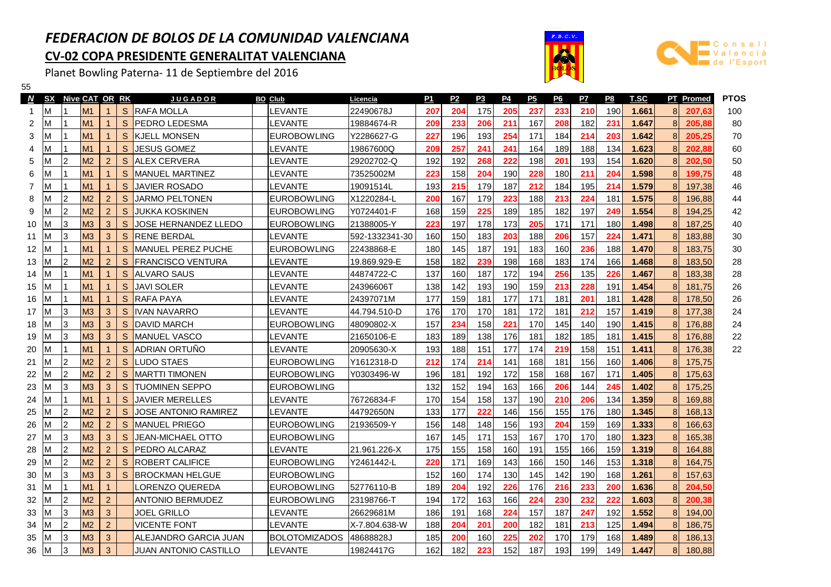## FEDERACION DE BOLOS DE LA COMUNIDAD VALENCIANACV-02 COPA PRESIDENTE GENERALITAT VALENCIANA

Planet Bowling Paterna- 11 de Septiembre del 2016





| 55                |           |              |                |                |              |                             |                      |                 |     |                |           |           |           |           |     |     |             |   |                  |             |
|-------------------|-----------|--------------|----------------|----------------|--------------|-----------------------------|----------------------|-----------------|-----|----------------|-----------|-----------|-----------|-----------|-----|-----|-------------|---|------------------|-------------|
| N                 | <b>SX</b> |              | Nive CAT OR RK |                |              | <u>J U G A D O R</u>        | <b>BO Club</b>       | <u>Licencia</u> | P1  | P <sub>2</sub> | <u>P3</u> | <u>P4</u> | <u>P5</u> | <u>P6</u> | P7  | P8  | <b>T.SC</b> |   | <b>PT</b> Promed | <b>PTOS</b> |
|                   | M         |              | M <sub>1</sub> | $\mathbf 1$    | S            | <b>RAFA MOLLA</b>           | EVANTE.              | 22490678J       | 207 | 204            | 175       | 205       | 237       | 233       | 210 | 190 | 1.661       | 8 | 207,63           | 100         |
| 2                 | M         |              | M <sub>1</sub> | $\mathbf{1}$   | S            | IPEDRO LEDESMA              | _EVANTE              | 19884674-R      | 209 | 233            | 206       | 211       | 167       | 208       | 182 | 231 | 1.647       | 8 | 205,88           | 80          |
| 3                 | м         |              | M <sub>1</sub> | $\mathbf{1}$   | S            | İKJELL MONSEN               | <b>EUROBOWLING</b>   | Y2286627-G      | 227 | 196            | 193       | 254       | 171       | 184       | 214 | 203 | 1.642       | 8 | 205.25           | 70          |
| 4                 | М         |              | M <sub>1</sub> | $\mathbf{1}$   | S            | <b>JESUS GOMEZ</b>          | _EVANTE              | 19867600Q       | 209 | 257            | 241       | 241       | 164       | 189       | 188 | 134 | 1.623       | 8 | 202.88           | 60          |
| 5                 | м         | 12           | M <sub>2</sub> | 2 <sup>1</sup> | S            | <b>ALEX CERVERA</b>         | LEVANTE              | 29202702-Q      | 192 | 192            | 268       | 222       | 198       | 201       | 193 | 154 | 1.620       | 8 | 202.50           | 50          |
| 6                 | М         |              | M <sub>1</sub> | $\mathbf{1}$   | S            | IMANUEL MARTINEZ            | <b>EVANTE</b>        | 73525002M       | 223 | 158            | 204       | 190       | 228       | 180       | 211 | 204 | 1.598       | 8 | 199.75           | 48          |
| 7                 | м         |              | M <sub>1</sub> | $\mathbf{1}$   | S            | <b>JAVIER ROSADO</b>        | LEVANTE              | 19091514L       | 193 | 215            | 179       | 187       | 212       | 184       | 195 | 214 | 1.579       | 8 | 197,38           | 46          |
| 8                 | М         | 12           | M <sub>2</sub> | 2 <sup>1</sup> | <sub>S</sub> | <b>JARMO PELTONEN</b>       | <b>EUROBOWLING</b>   | X1220284-L      | 200 | 167            | 179       | 223       | 188       | 213       | 224 | 181 | 1.575       | 8 | 196,88           | 44          |
| 9                 | М         | 12           | M <sub>2</sub> | 2 <sup>1</sup> | S            | <b>JUKKA KOSKINEN</b>       | <b>EUROBOWLING</b>   | Y0724401-F      | 168 | 159            | 225       | 189       | 185       | 182       | 197 | 249 | 1.554       | 8 | 194,25           | 42          |
| 10                | м         | 3            | M <sub>3</sub> | 3              | S            | JOSE HERNANDEZ LLEDO        | <b>EUROBOWLING</b>   | 21388005-Y      | 223 | 197            | 178       | 173       | 205       | 171       | 171 | 180 | 1.498       | 8 | 187,25           | 40          |
| 11                | м         | 3            | M <sub>3</sub> | 3              | S            | IRENE BERDAL                | LEVANTE              | 592-1332341-30  | 160 | 150            | 183       | 203       | 188       | 206       | 157 | 224 | 1.471       | 8 | 183,88           | 30          |
| $12 \overline{ }$ | V.        |              | M <sub>1</sub> | $\mathbf{1}$   | S            | IMANUEL PEREZ PUCHE         | <b>EUROBOWLING</b>   | 22438868-E      | 180 | 145            | 187       | 191       | 183       | 160       | 236 | 188 | 1.470       | 8 | 183,75           | 30          |
| 13                | м         | 2            | M <sub>2</sub> | 2 <sup>1</sup> | S            | <b>IFRANCISCO VENTURA</b>   | LEVANTE              | 19.869.929-E    | 158 | 182            | 239       | 198       | 168       | 183       | 174 | 166 | 1.468       | 8 | 183,50           | 28          |
| 14                | м         |              | M1             | $\mathbf{1}$   | S            | ALVARO SAUS                 | <b>LEVANTE</b>       | 44874722-C      | 137 | 160            | 187       | 172       | 194       | 256       | 135 | 226 | 1.467       | 8 | 183,38           | 28          |
| 15                | М         |              | M <sub>1</sub> | $\mathbf{1}$   | S            | <b>JAVI SOLER</b>           | _EVANTE              | 24396606T       | 138 | 142            | 193       | 190       | 159       | 213       | 228 | 191 | 1.454       | 8 | 181,75           | 26          |
| 16                | м         |              | M <sub>1</sub> | $\mathbf{1}$   | S            | <b>RAFA PAYA</b>            | LEVANTE              | 24397071M       | 177 | 159            | 181       | 177       | 171       | 181       | 201 | 181 | 1.428       | 8 | 178,50           | 26          |
| 17                | м         | IЗ           | M <sub>3</sub> | 3              | S            | IIVAN NAVARRO               | LEVANTE              | 44.794.510-D    | 176 | 170            | 170       | 181       | 172       | 181       | 212 | 157 | 1.419       | 8 | 177,38           | 24          |
| 18                | м         | l3           | M <sub>3</sub> | 3              | S            | <b>IDAVID MARCH</b>         | <b>EUROBOWLING</b>   | 48090802-X      | 157 | 234            | 158       | 221       | 170       | 145       | 140 | 190 | 1.415       | 8 | 176,88           | 24          |
| 19                | м         | l3           | M <sub>3</sub> | 3              | S            | <b>IMANUEL VASCO</b>        | LEVANTE              | 21650106-E      | 183 | 189            | 138       | 176       | 181       | 182       | 185 | 181 | 1.415       | 8 | 176,88           | 22          |
| 20                | М         |              | M <sub>1</sub> | $\mathbf{1}$   | S            | <b>ADRIAN ORTUNO</b>        | LEVANTE              | 20905630-X      | 193 | 188            | 151       | 177       | 174       | 219       | 158 | 151 | 1.411       | 8 | 176,38           | 22          |
| 21                | м         | l2           | M <sub>2</sub> | $\overline{2}$ | S            | <b>LUDO STAES</b>           | <b>EUROBOWLING</b>   | Y1612318-D      | 212 | 174            | 214       | 141       | 168       | 181       | 156 | 160 | 1.406       | 8 | 175,75           |             |
| 22                | М         | 12           | M <sub>2</sub> | $\overline{2}$ | S            | <b>IMARTTI TIMONEN</b>      | <b>EUROBOWLING</b>   | Y0303496-W      | 196 | 181            | 192       | 172       | 158       | 168       | 167 | 171 | 1.405       | 8 | 175,63           |             |
| 23                | М         | 13           | M <sub>3</sub> | 3              | S            | <b>TUOMINEN SEPPO</b>       | <b>EUROBOWLING</b>   |                 | 132 | 152            | 194       | 163       | 166       | 206       | 144 | 245 | 1.402       | 8 | 175,25           |             |
| 24                | М         |              | M <sub>1</sub> | $\mathbf{1}$   | <sub>S</sub> | <b>JAVIER MERELLES</b>      | LEVANTE              | 76726834-F      | 170 | 154            | 158       | 137       | 190       | 210       | 206 | 134 | 1.359       | 8 | 169,88           |             |
| 25                | м         | l2           | M <sub>2</sub> | $\overline{2}$ | S            | <b>JOSE ANTONIO RAMIREZ</b> | LEVANTE              | 44792650N       | 133 | 177            | 222       | 146       | 156       | 155       | 176 | 180 | 1.345       | 8 | 168,13           |             |
| 26                | м         | <sup>2</sup> | M <sub>2</sub> | $\overline{2}$ | <sub>S</sub> | <b>IMANUEL PRIEGO</b>       | <b>EUROBOWLING</b>   | 21936509-Y      | 156 | 148            | 148       | 156       | 193       | 204       | 159 | 169 | 1.333       | 8 | 166,63           |             |
| 27                | м         | 13           | M <sub>3</sub> | $\mathbf{3}$   | S            | JEAN-MICHAEL OTTO           | <b>EUROBOWLING</b>   |                 | 167 | 145            | 171       | 153       | 167       | 170       | 170 | 180 | 1.323       | 8 | 165,38           |             |
| 28                | М         | 2            | M <sub>2</sub> | 2 <sup>1</sup> | S            | <b>IPEDRO ALCARAZ</b>       | LEVANTE              | 21.961.226-X    | 175 | 155            | 158       | 160       | 191       | 155       | 166 | 159 | 1.319       | 8 | 164,88           |             |
| 29                | м         | 2            | M <sub>2</sub> | $\overline{2}$ | <sub>S</sub> | IROBERT CALIFICE            | EUROBOWLING          | Y2461442-L      | 220 | 171            | 169       | 143       | 166       | 150       | 146 | 153 | 1.318       | 8 | 164,75           |             |
| 30                | М         | $\vert$ 3    | M <sub>3</sub> | 3              | <sub>S</sub> | <b>BROCKMAN HELGUE</b>      | <b>EUROBOWLING</b>   |                 | 152 | 160            | 174       | 130       | 145       | 142       | 190 | 168 | 1.261       | 8 | 157,63           |             |
| 31                | М         | 11           | M1             | $\mathbf{1}$   |              | LORENZO QUEREDA             | <b>EUROBOWLING</b>   | 52776110-B      | 189 | 204            | 192       | 226       | 176       | 216       | 233 | 200 | 1.636       | 8 | 204,50           |             |
| 32                | М         | <sup>2</sup> | M <sub>2</sub> | $\overline{2}$ |              | <b>ANTONIO BERMUDEZ</b>     | <b>EUROBOWLING</b>   | 23198766-T      | 194 | 172            | 163       | 166       | 224       | 230       | 232 | 222 | 1.603       | 8 | 200,38           |             |
| 33                | М         | 13           | M <sub>3</sub> | 3              |              | <b>JOEL GRILLO</b>          | LEVANTE              | 26629681M       | 186 | 191            | 168       | 224       | 157       | 187       | 247 | 192 | 1.552       | 8 | 194,00           |             |
| 34                | М         | <sup>2</sup> | M <sub>2</sub> | $\overline{2}$ |              | <b>VICENTE FONT</b>         | LEVANTE              | X-7.804.638-W   | 188 | 204            | 201       | 200       | 182       | 181       | 213 | 125 | 1.494       | 8 | 186,75           |             |
| 35                | ΙM        | 3            | M <sub>3</sub> | 3              |              | ALEJANDRO GARCIA JUAN       | <b>BOLOTOMIZADOS</b> | 48688828J       | 185 | 200            | 160       | 225       | 202       | 170       | 179 | 168 | 1.489       | 8 | 186,13           |             |
| 36                | ΙM        | 13           | M <sub>3</sub> | 3              |              | JUAN ANTONIO CASTILLO       | LEVANTE              | 19824417G       | 162 | 182            | 223       | 152       | 187       | 193       | 199 | 149 | 1.447       | 8 | 180,88           |             |